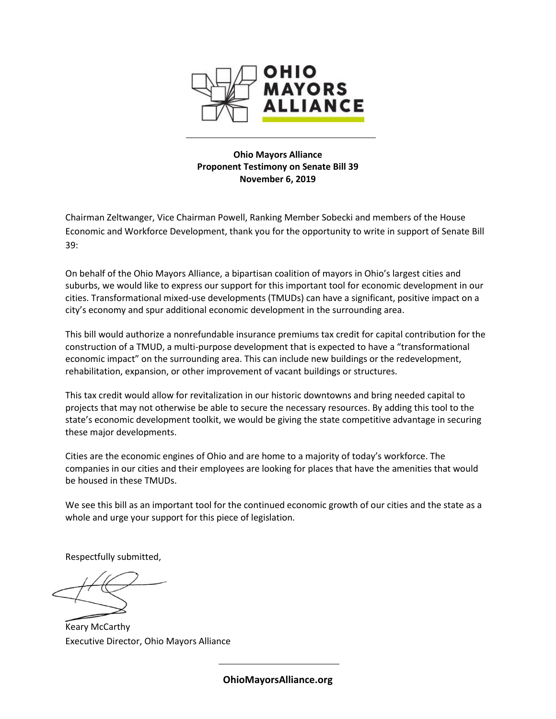

**Ohio Mayors Alliance Proponent Testimony on Senate Bill 39 November 6, 2019**

Chairman Zeltwanger, Vice Chairman Powell, Ranking Member Sobecki and members of the House Economic and Workforce Development, thank you for the opportunity to write in support of Senate Bill 39:

On behalf of the Ohio Mayors Alliance, a bipartisan coalition of mayors in Ohio's largest cities and suburbs, we would like to express our support for this important tool for economic development in our cities. Transformational mixed-use developments (TMUDs) can have a significant, positive impact on a city's economy and spur additional economic development in the surrounding area.

This bill would authorize a nonrefundable insurance premiums tax credit for capital contribution for the construction of a TMUD, a multi-purpose development that is expected to have a "transformational economic impact" on the surrounding area. This can include new buildings or the redevelopment, rehabilitation, expansion, or other improvement of vacant buildings or structures.

This tax credit would allow for revitalization in our historic downtowns and bring needed capital to projects that may not otherwise be able to secure the necessary resources. By adding this tool to the state's economic development toolkit, we would be giving the state competitive advantage in securing these major developments.

Cities are the economic engines of Ohio and are home to a majority of today's workforce. The companies in our cities and their employees are looking for places that have the amenities that would be housed in these TMUDs.

We see this bill as an important tool for the continued economic growth of our cities and the state as a whole and urge your support for this piece of legislation.

Respectfully submitted,

Keary McCarthy Executive Director, Ohio Mayors Alliance

**OhioMayorsAlliance.org**